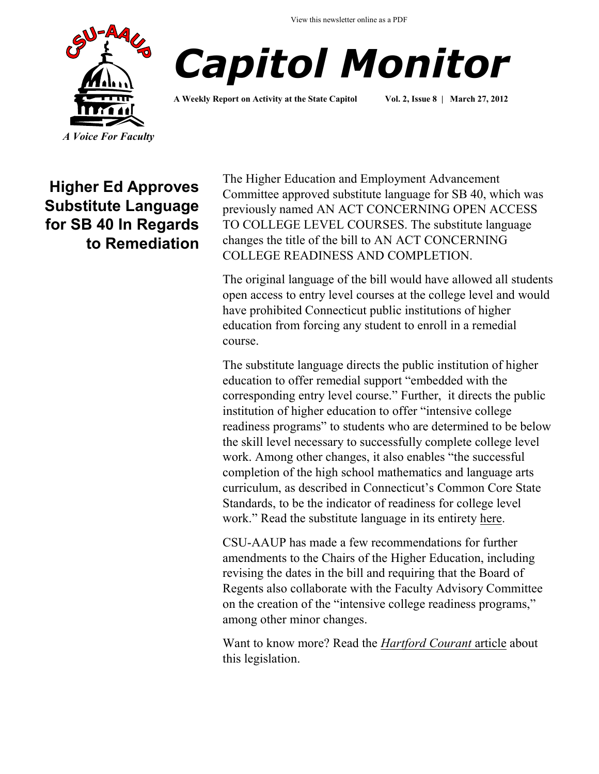View this newsletter online as a PDF





**A Weekly Report on Activity at the State Capitol Vol. 2, Issue 8 | March 27, 2012**

**Higher Ed Approves Substitute Language for SB 40 In Regards to Remediation** 

The Higher Education and Employment Advancement Committee approved substitute language for SB 40, which was previously named AN ACT CONCERNING OPEN ACCESS TO COLLEGE LEVEL COURSES. The substitute language changes the title of the bill to AN ACT CONCERNING COLLEGE READINESS AND COMPLETION.

The original language of the bill would have allowed all students open access to entry level courses at the college level and would have prohibited Connecticut public institutions of higher education from forcing any student to enroll in a remedial course.

The substitute language directs the public institution of higher education to offer remedial support "embedded with the corresponding entry level course." Further, it directs the public institution of higher education to offer "intensive college readiness programs" to students who are determined to be below the skill level necessary to successfully complete college level work. Among other changes, it also enables "the successful completion of the high school mathematics and language arts curriculum, as described in Connecticut's Common Core State Standards, to be the indicator of readiness for college level work." Read the substitute language in its entirety [here.](http://www.csuaaup.org/wp-content/uploads/2012/03/SubstituteSB40.pdf)

CSU-AAUP has made a few recommendations for further amendments to the Chairs of the Higher Education, including revising the dates in the bill and requiring that the Board of Regents also collaborate with the Faculty Advisory Committee on the creation of the "intensive college readiness programs," among other minor changes.

Want to know more? Read the *[Hartford Courant](http://www.courant.com/news/education/hc-remedial-bill-0320-20120319,0,4426427.story)* article about this legislation.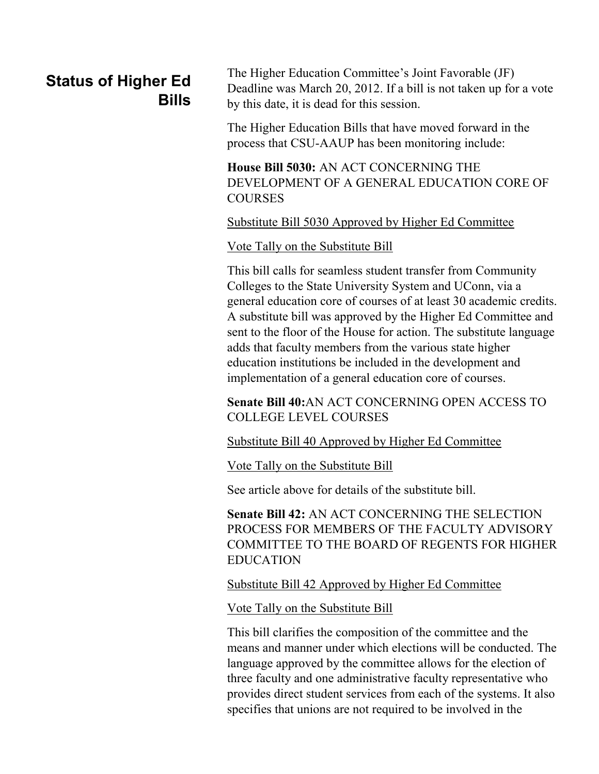## **Status of Higher Ed Bills**

The Higher Education Committee's Joint Favorable (JF) Deadline was March 20, 2012. If a bill is not taken up for a vote by this date, it is dead for this session.

The Higher Education Bills that have moved forward in the process that CSU-AAUP has been monitoring include:

**House Bill 5030:** AN ACT CONCERNING THE DEVELOPMENT OF A GENERAL EDUCATION CORE OF **COURSES** 

## [Substitute Bill 5030 Approved by Higher Ed Committee](http://www.csuaaup.org/wp-content/uploads/2012/02/HB5030Amended.pdf)

## [Vote Tally on the Substitute Bill](http://cga.ct.gov/2012/TS/H/2012HB-05030-R00HED-CV3-TS.htm)

This bill calls for seamless student transfer from Community Colleges to the State University System and UConn, via a general education core of courses of at least 30 academic credits. A substitute bill was approved by the Higher Ed Committee and sent to the floor of the House for action. The substitute language adds that faculty members from the various state higher education institutions be included in the development and implementation of a general education core of courses.

**Senate Bill 40:**AN ACT CONCERNING OPEN ACCESS TO COLLEGE LEVEL COURSES

[Substitute Bill 40 Approved by Higher Ed Committee](http://www.csuaaup.org/wp-content/uploads/2012/03/SubstituteSB40.pdf)

[Vote Tally on the Substitute Bill](http://cga.ct.gov/2012/TS/S/2012SB-00040-R00HED-CV17-TS.htm)

See article above for details of the substitute bill.

**Senate Bill 42:** AN ACT CONCERNING THE SELECTION PROCESS FOR MEMBERS OF THE FACULTY ADVISORY COMMITTEE TO THE BOARD OF REGENTS FOR HIGHER EDUCATION

[Substitute Bill 42 Approved by Higher Ed Committee](http://cga.ct.gov/2012/TOB/S/2012SB-00042-R01-SB.htm)

[Vote Tally on the Substitute Bill](http://cga.ct.gov/2012/TS/S/2012SB-00042-R00HED-CV7-TS.htm)

This bill clarifies the composition of the committee and the means and manner under which elections will be conducted. The language approved by the committee allows for the election of three faculty and one administrative faculty representative who provides direct student services from each of the systems. It also specifies that unions are not required to be involved in the